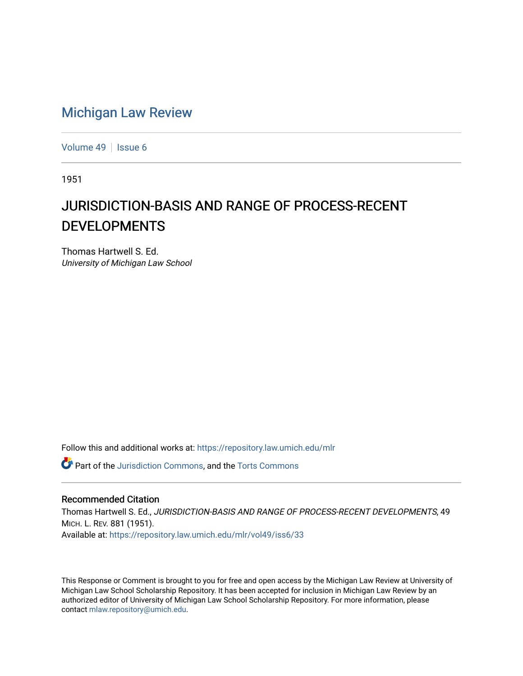## [Michigan Law Review](https://repository.law.umich.edu/mlr)

[Volume 49](https://repository.law.umich.edu/mlr/vol49) | [Issue 6](https://repository.law.umich.edu/mlr/vol49/iss6)

1951

# JURISDICTION-BASIS AND RANGE OF PROCESS-RECENT DEVELOPMENTS

Thomas Hartwell S. Ed. University of Michigan Law School

Follow this and additional works at: [https://repository.law.umich.edu/mlr](https://repository.law.umich.edu/mlr?utm_source=repository.law.umich.edu%2Fmlr%2Fvol49%2Fiss6%2F33&utm_medium=PDF&utm_campaign=PDFCoverPages) 

**C** Part of the [Jurisdiction Commons](https://network.bepress.com/hgg/discipline/850?utm_source=repository.law.umich.edu%2Fmlr%2Fvol49%2Fiss6%2F33&utm_medium=PDF&utm_campaign=PDFCoverPages), and the Torts Commons

#### Recommended Citation

Thomas Hartwell S. Ed., JURISDICTION-BASIS AND RANGE OF PROCESS-RECENT DEVELOPMENTS, 49 MICH. L. REV. 881 (1951). Available at: [https://repository.law.umich.edu/mlr/vol49/iss6/33](https://repository.law.umich.edu/mlr/vol49/iss6/33?utm_source=repository.law.umich.edu%2Fmlr%2Fvol49%2Fiss6%2F33&utm_medium=PDF&utm_campaign=PDFCoverPages) 

This Response or Comment is brought to you for free and open access by the Michigan Law Review at University of Michigan Law School Scholarship Repository. It has been accepted for inclusion in Michigan Law Review by an authorized editor of University of Michigan Law School Scholarship Repository. For more information, please contact [mlaw.repository@umich.edu](mailto:mlaw.repository@umich.edu).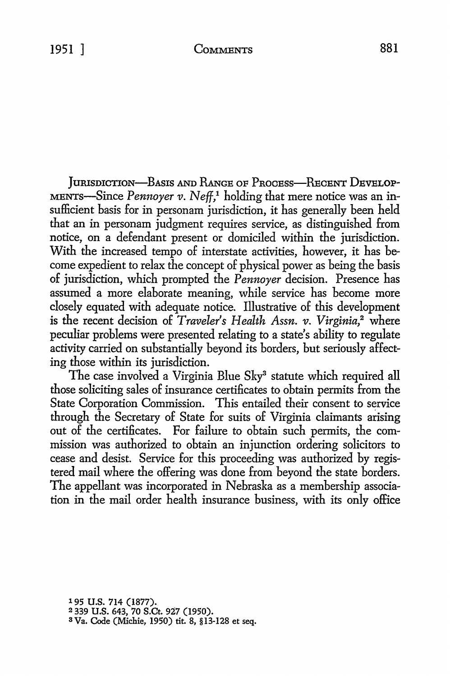JURISDICTION-BASIS AND RANGE OF PROCESS-RECENT DEVELOP-MENTS-Since *Pennoyer v.* Neff,<sup>1</sup> holding that mere notice was an insufficient basis for in personam jurisdiction, it has generally been held that an in personam judgment requires service, as distinguished from notice, on a defendant present or domiciled within the jurisdiction. With the increased tempo of interstate activities, however, it has become expedient to relax the concept of physical power as being the basis of jurisdiction, which prompted the *Pennoyer* decision. Presence has assumed a more elaborate meaning, while service has become more closely equated with adequate notice. Illustrative of this development is the recent decision of *Traveler's Health Assn. v. Virginia,2* where peculiar problems were presented relating to a state's ability to regulate activity carried on substantially beyond its borders, but seriously affecting those within its jurisdiction.

The case involved a Virginia Blue Sky<sup>3</sup> statute which required all those soliciting sales of insurance certificates to obtain permits from the State Corporation Commission. This entailed their consent to service through the Secretary of State for suits of Virginia claimants arising out of the certificates. For failure to obtain such permits, the commission was authorized to obtain an injunction ordering solicitors to cease and desist. Service for this proceeding was authorized by registered mail where the offering was done from beyond the state borders. The appellant was incorporated in Nebraska as a membership association in the mail order health insurance business, with its only office

195 **U.S.** 714 (1877). 2 339 **U.S.** 643, 70 **S.Ct.** 927 (1950). <sup>3</sup> Va. Code (Michie, 1950) tit. 8, §13-128 et seq.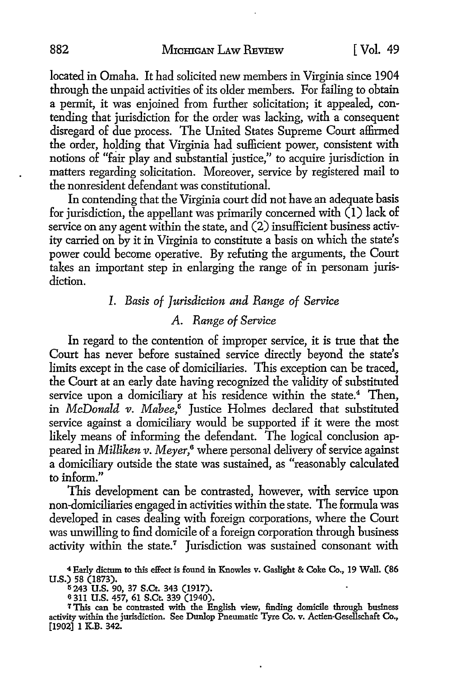located in Omaha. It had solicited new members in Virginia since 1904 through the unpaid activities of its older members. For failing to obtain a permit, it was enjoined from further solicitation; it appealed, contending that jurisdiction for the order was lacking, with a consequent disregard of due process. The United States Supreme Court affirmed the order, holding that Virginia had sufficient power, consistent with notions of "fair play and substantial justice," to acquire jurisdiction in matters regarding solicitation. Moreover, service by registered mail to the nonresident defendant was constitutional.

In contending that the Virginia court did not have an adequate basis for jurisdiction, the appellant was primarily concerned with (1) lack of service on any agent within the state, and  $(2)$  insufficient business activity carried on by it in Virginia to constitute a basis on which the state's power could become operative. By refuting the arguments, the Court takes an important step in enlarging the range of in personam jurisdiction.

### I. *Basis of Jurisdiction and Range of Service*

#### *A. Range of Service*

In regard to the contention of improper service, it is true that the Court has never before sustained service directly beyond the state's limits except in the case of domiciliaries. This exception can be traced, the Court at an early date having recognized the validity of substituted service upon a domiciliary at his residence within the state.<sup>4</sup> Then, in *McDonald v. Mahee,5* Justice Holmes declared that substituted service against a domiciliary would be supported if it were the most likely means of informing the defendant. The logical conclusion appeared in *Milliken v. Meyer,6* where personal delivery of service against a domiciliary outside the state was sustained, as "reasonably calculated to inform."

This development can be contrasted, however, with service upon non-domiciliaries engaged in activities within the state. The formula was developed in cases dealing with foreign corporations, where the Court was unwilling to find domicile of a foreign corporation through business activity within the state.<sup>7</sup> Jurisdiction was sustained consonant with

6 311 U.S. 457, 61 S.Ct. 339 (1940).

<sup>4</sup>Early dictum to this effect is found in Knowles v. Gaslight & Coke Co., 19 Wall. (86 U.S.) 58 (1873).

li243 U.S. 90, 37 S.Ct. 343 (1917).

<sup>7</sup> This can be contrasted with the English view, finding domicile through business activity within the jurisdiction. See Dunlop Pneumatic Tyre Co. v. Actien-Gesellschaft Co., [1902] 1 K.B. 342.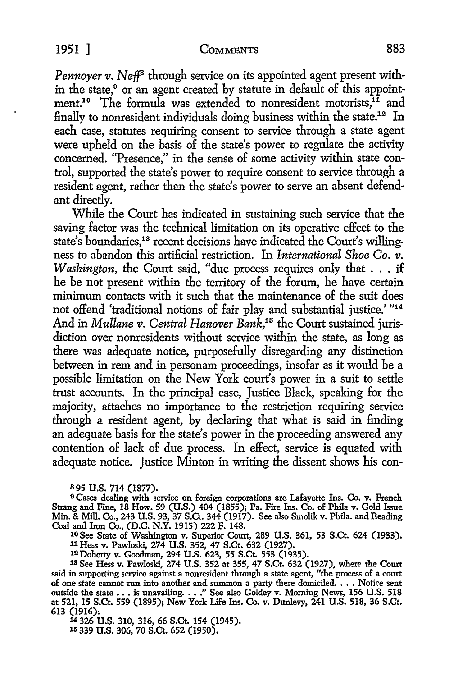*Pennoyer v. Neff<sup>8</sup>* through service on its appointed agent present within the state,<sup>9</sup> or an agent created by statute in default of this appointment.<sup>10</sup> The formula was extended to nonresident motorists,<sup>11</sup> and finally to nonresident individuals doing business within the state.<sup>12</sup> In each case, statutes requiring consent to service through a state agent were upheld on the basis of the state's power to regulate the activity concerned. "Presence," in the sense of some activity within state control, supported the state's power to require consent to service through a resident agent, rather than the state's power to serve an absent defendant directly.

While the Court has indicated in sustaining such service that the saving factor was the technical limitation on its operative effect to the state's boundaries,<sup>13</sup> recent decisions have indicated the Court's willingness to abandon this artificial restriction. In *International Shoe Co.*  $\overline{v}$ . *Washington*, the Court said, "due process requires only that . . . if he be not present within the territory of the forum, he have certain minimum contacts with it such that the maintenance of the suit does not offend 'traditional notions of fair play and substantial justice.' "14 And in *Mullane v. Central Hanover Bank,1*5 the Court sustained jurisdiction over nonresidents without service within the state, as long as there was adequate notice, purposefully disregarding any distinction between in rem and in personam proceedings, insofar as it would be a possible limitation on the New York court's power in a suit to settle trust accounts. In the principal case, Justice Black, speaking for the majority, attaches no importance to the restriction requiring service through a resident agent, by declaring that what is said in finding an adequate basis for the state's power in the proceeding answered any contention of lack of due process. In effect, service is equated with adequate notice. Justice Minton in writing the dissent shows his con-

s 95 U.S. 714 (1877).

9 Cases dealing with service on foreign corporations are Lafayette Ins. Co. v. French Strang and Fine, 18 How. 59 (U.S.) 404 (1855); Pa. Fire Ins. Co. of Phila v. Gold Issue Min. & Mill. Co., 243 U.S. 93, 37 S.Ct. 344 (1917). See also Smolik v. Phila. and Reading Coal and hon Co., (D.C. N.Y. 1915) 222 F. 148.

10 See State of Washington v. Superior Court, 289 U.S. 361, 53 S.Ct. 624 (1933). 11 Hess v. Pawloski, 274 U.S. 352, 47 S.Ct. 632 (1927).

12Doherty v. Goodman, 294 U.S. 623, 55 S.Ct. 553 (1935).

18 See Hess v. Pawloski, 274 U.S. 352 at 355, 47 S.Ct. 632 (1927), where the Court said in supporting service against a nonresident through a state agent, "the process of a court of one state cannot run into another and summon a party there domiciled. . . . Notice sent outside the state entire that the anometer and standard a party field dominated  $\cdot \cdot \cdot \cdot$  is unavailing ... "See also Goldey v. Morning News, 156 U.S. 518 at 521, 15 S.Ct. 559 (1895); New York Life Ins. Co. v. Dunlevy, 24 613 (1916):

14 326 U.S. 310, 316, 66 S.Ct. 154 (1945). 15 339 U.S. 306, 70 S.Ct. 652 (1950).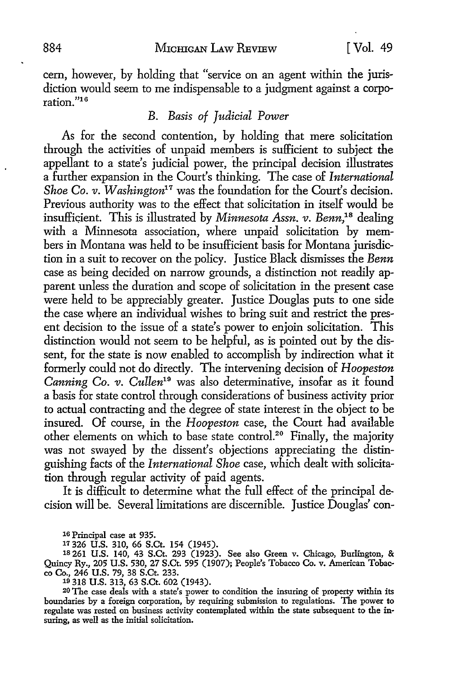cem, however, by holding that "service on an agent within the jurisdiction would seem to me indispensable to a judgment against a corporation."16

### *B. Basis of Judicial Power*

As for the second contention, by holding that mere solicitation through the activities of unpaid members is sufficient to subject the appellant to a state's judicial power, the principal decision illustrates a further expansion in the Court's thinking. The case of *International Shoe Co. v. Washington<sup>17</sup>* was the foundation for the Court's decision. Previous authority was to the effect that solicitation in itself would be insufficient. This is illustrated by *Minnesota Assn. v. Benn*,<sup>18</sup> dealing with a Minnesota association, where unpaid solicitation by members in Montana was held to be insufficient basis for Montana jurisdiction in a suit to recover on the policy. Justice Black dismisses the *Benn*  case as being decided on narrow grounds, a distinction not readily apparent unless the duration and scope of solicitation in the present case were held to be appreciably greater. Justice Douglas puts to one side the case where an individual wishes to bring suit and restrict the present decision to the issue of a state's power to enjoin solicitation. This distinction would not seem to be helpful, as is pointed out by the dissent, for the state is now enabled to accomplish by indirection what it formerly could not do directly. The intervening decision of *Hoopeston Canning Co. v. Cullen19* was also determinative, insofar as it found a basis for state control through considerations of business activity prior to actual contracting and the degree of state interest in the object to be insured. Of course, in the *Hoopeston* case, the Court had available other elements on which to base state control.<sup>20</sup> Finally, the majority was not swayed by the dissent's objections appreciating the distinguishing facts of the *International Shoe* case, which dealt with solicitation through regular activity of paid agents.

It is difficult to determine what the full effect of the principal de• cision will be. Several limitations are discernible. Justice Douglas' con-

16 Principal case at 935.

11 326 U.S. 310, 66 S.Ct. 154 (1945).

ts 261 U.S. 140, 43 S.Ct. 293 (1923). See also Green v. Chicago, Burlington, & Quincy Ry., 205 U.S. 530, 27 S.Ct. 595 (1907); People's Tobacco Co. v. American Tobac· co Co., 246 U.S. 79, 38 S.Ct. 233. 10 318 U.S. 313, 63 S.Ct. 602 (1943).

20 The case deals with a state's power to condition the insuring of property within its boundaries by a foreign corporation, by requiring submission to regulations. The power to regulate was rested on business activity contemplated within the state subsequent to the in· suring, as well as the initial solicitation.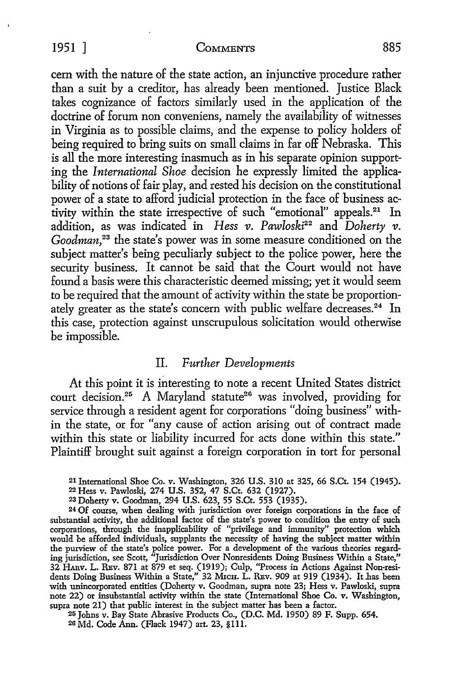#### 1951 ] COMMENTS 885

cem with the nature of the state action, an injunctive procedure rather than a suit by a creditor, has already been mentioned. Justice Black takes cognizance of factors similarly used in the application of the doctrine of forum non conveniens, namely the availability of witnesses in Virginia as to possible claims, and the expense to policy holders of being required to bring suits on small claims in far off Nebraska. This is all the more interesting inasmuch as in his separate opinion supporting the *International Shoe* decision he expressly limited the applicability of notions of fair play, and rested his decision on the constitutional power of a state to afford judicial protection in the face of business activity within the state irrespective of such "emotional" appeals.<sup>21</sup> In addition, as was indicated in *Hess v. Pawloski*<sup>22</sup> and *Doherty v. Goodman,* 23 the state's power was in some measure conditioned on the subject matter's being peculiarly subject to the police power, here the security business. It cannot be said that the Court would not have found a basis were this characteristic deemed missing; yet it would seem to be required that the amount of activity within the state be proportionately greater as the state's concern with public welfare decreases.<sup>24</sup> In this case, protection against unscrupulous solicitation would otherwise be impossible.

#### II. *Further Developments*

At this point it is interesting to note a recent United States district court decision.<sup>25</sup> A Maryland statute<sup>26</sup> was involved, providing for service through a resident agent for corporations "doing business" within the state, or for "any cause of action arising out of contract made within this state or liability incurred for acts done within this state." Plaintiff brought suit against a foreign corporation in tort for personal

25 Johns v. Bay State Abrasive Products Co., (D.C. Md. 1950) 89 F. Supp. 654. 20 Md. Code Ann. (Flack 1947) art. 23, §lll.

<sup>21</sup> International Shoe Co. v. Washington, 326 U.S. 310 at 325, 66 S.Ct. 154 (1945).

<sup>22</sup>Hess v. Pawloski, 274 U.S. 352, 47 S.Ct. 632 (1927).

<sup>23</sup> Doherty v. Goodman, 294 U.S. 623, 55 S.Ct. 553 (1935).

<sup>24</sup> Of course, when dealing with jurisdiction over foreign corporations in the face of substantial activity, the additional factor of the state's power to condition the entry of such corporations, through the inapplicability of "privilege and immunity" protection which would be afforded individuals, supplants the necessity of having the subject matter within the purview of the state's police power. For a development of the various theories regarding jurisdiction, see Scott, "Jurisdiction Over Nonresidents Doing Business Within a State," 32 HARv. L. REv. 871 at 879 et seq. (1919); Culp, "Process in Actions Against Non-residents Doing Business Within a State," 32 MICH. L. REv. 909 at 919 (1934). It has been with unincorporated entities (Doherty v. Goodman, supra note 23; Hess v. Pawloski, supra note 22) or insubstantial activity within the state (International Shoe Co. v. Washington, supra note 21) that public interest in the subject matter has been a factor.